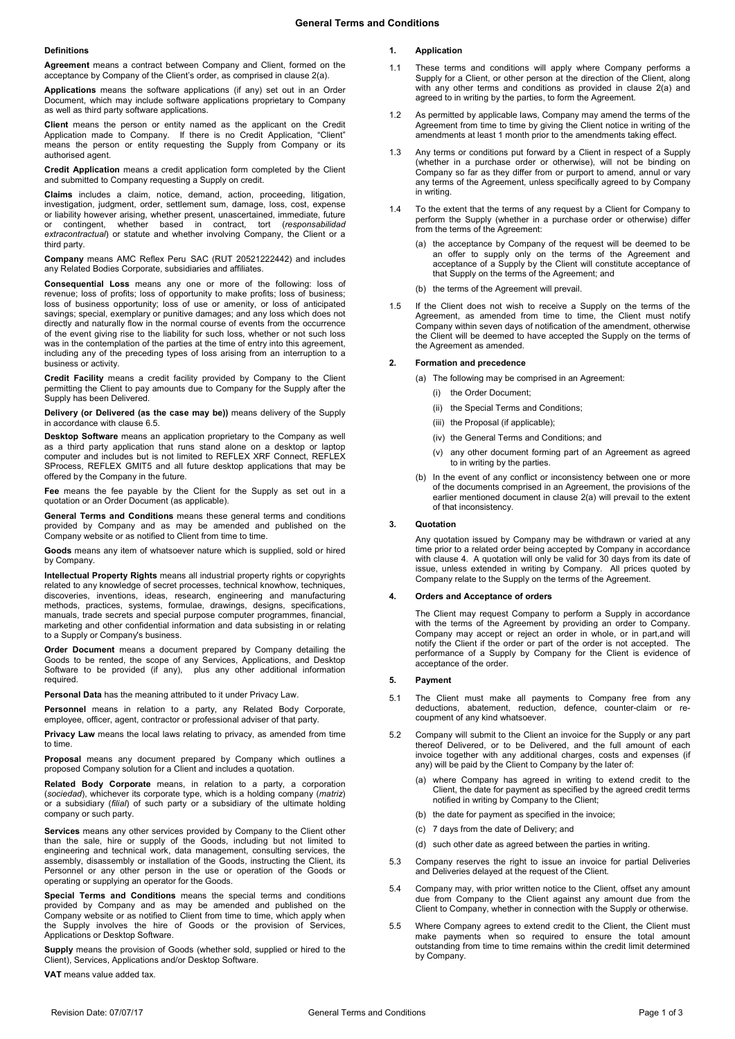#### **Definitions**

**Agreement** means a contract between Company and Client, formed on the acceptance by Company of the Client's order, as comprised in claus[e 2\(a\).](#page-0-0)

**Applications** means the software applications (if any) set out in an Order Document, which may include software applications proprietary to Company as well as third party software applications.

**Client** means the person or entity named as the applicant on the Credit Application made to Company. If there is no Credit Application, "Client" means the person or entity requesting the Supply from Company or its authorised agent.

**Credit Application** means a credit application form completed by the Client and submitted to Company requesting a Supply on credit.

**Claims** includes a claim, notice, demand, action, proceeding, litigation, investigation, judgment, order, settlement sum, damage, loss, cost, expense or liability however arising, whether present, unascertained, immediate, future or contingent, whether based in contract, tort (*responsabilidad extracontractual*) or statute and whether involving Company, the Client or a third party.

**Company** means AMC Reflex Peru SAC (RUT 20521222442) and includes any Related Bodies Corporate, subsidiaries and affiliates.

**Consequential Loss** means any one or more of the following: loss of revenue; loss of profits; loss of opportunity to make profits; loss of business; loss of business opportunity; loss of use or amenity, or loss of anticipated savings; special, exemplary or punitive damages; and any loss which does not directly and naturally flow in the normal course of events from the occurrence of the event giving rise to the liability for such loss, whether or not such loss was in the contemplation of the parties at the time of entry into this agreement, including any of the preceding types of loss arising from an interruption to a business or activity.

**Credit Facility** means a credit facility provided by Company to the Client permitting the Client to pay amounts due to Company for the Supply after the Supply has been Delivered.

**Delivery (or Delivered (as the case may be))** means delivery of the Supply in accordance with claus[e 6.5.](#page-1-0)

**Desktop Software** means an application proprietary to the Company as well as a third party application that runs stand alone on a desktop or laptop computer and includes but is not limited to REFLEX XRF Connect, REFLEX SProcess, REFLEX GMIT5 and all future desktop applications that may be offered by the Company in the future.

**Fee** means the fee payable by the Client for the Supply as set out in a quotation or an Order Document (as applicable).

**General Terms and Conditions** means these general terms and conditions provided by Company and as may be amended and published on the Company website or as notified to Client from time to time.

**Goods** means any item of whatsoever nature which is supplied, sold or hired by Company.

**Intellectual Property Rights** means all industrial property rights or copyrights related to any knowledge of secret processes, technical knowhow, techniques, discoveries, inventions, ideas, research, engineering and manufacturing methods, practices, systems, formulae, drawings, designs, specifications, manuals, trade secrets and special purpose computer programmes, financial, marketing and other confidential information and data subsisting in or relating to a Supply or Company's business.

**Order Document** means a document prepared by Company detailing the Goods to be rented, the scope of any Services, Applications, and Desktop Software to be provided (if any), plus any other additional information required.

**Personal Data** has the meaning attributed to it under Privacy Law.

**Personnel** means in relation to a party, any Related Body Corporate, employee, officer, agent, contractor or professional adviser of that party.

**Privacy Law** means the local laws relating to privacy, as amended from time to time.

**Proposal** means any document prepared by Company which outlines a proposed Company solution for a Client and includes a quotation.

**Related Body Corporate** means, in relation to a party, a corporation (*sociedad*), whichever its corporate type, which is a holding company (*matriz*) or a subsidiary (*filial*) of such party or a subsidiary of the ultimate holding company or such party.

**Services** means any other services provided by Company to the Client other than the sale, hire or supply of the Goods, including but not limited to engineering and technical work, data management, consulting services, the assembly, disassembly or installation of the Goods, instructing the Client, its Personnel or any other person in the use or operation of the Goods or operating or supplying an operator for the Goods.

**Special Terms and Conditions** means the special terms and conditions provided by Company and as may be amended and published on the Company website or as notified to Client from time to time, which apply when the Supply involves the hire of Goods or the provision of Services, Applications or Desktop Software.

**Supply** means the provision of Goods (whether sold, supplied or hired to the Client), Services, Applications and/or Desktop Software.

**VAT** means value added tax.

# **1. Application**

- 1.1 These terms and conditions will apply where Company performs a Supply for a Client, or other person at the direction of the Client, along with any other terms and conditions as provided in clause 2(a) and agreed to in writing by the parties, to form the Agreement.
- 1.2 As permitted by applicable laws, Company may amend the terms of the Agreement from time to time by giving the Client notice in writing of the amendments at least 1 month prior to the amendments taking effect.
- 1.3 Any terms or conditions put forward by a Client in respect of a Supply (whether in a purchase order or otherwise), will not be binding on Company so far as they differ from or purport to amend, annul or vary any terms of the Agreement, unless specifically agreed to by Company in writing.
- 1.4 To the extent that the terms of any request by a Client for Company to perform the Supply (whether in a purchase order or otherwise) differ from the terms of the Agreement:
	- (a) the acceptance by Company of the request will be deemed to be an offer to supply only on the terms of the Agreement and acceptance of a Supply by the Client will constitute acceptance of that Supply on the terms of the Agreement; and
	- (b) the terms of the Agreement will prevail
- 1.5 If the Client does not wish to receive a Supply on the terms of the Agreement, as amended from time to time, the Client must notify Company within seven days of notification of the amendment, otherwise the Client will be deemed to have accepted the Supply on the terms of the Agreement as amended.

#### <span id="page-0-0"></span>**2. Formation and precedence**

- (a) The following may be comprised in an Agreement:
	- (i) the Order Document;
	- (ii) the Special Terms and Conditions;
	- (iii) the Proposal (if applicable);
	- (iv) the General Terms and Conditions; and
	- (v) any other document forming part of an Agreement as agreed to in writing by the parties.
- (b) In the event of any conflict or inconsistency between one or more of the documents comprised in an Agreement, the provisions of the earlier mentioned document in clause [2\(a\)](#page-0-0) will prevail to the extent of that inconsistency.

### **3. Quotation**

Any quotation issued by Company may be withdrawn or varied at any time prior to a related order being accepted by Company in accordance with claus[e 4.](#page-0-1) A quotation will only be valid for 30 days from its date of issue, unless extended in writing by Company. All prices quoted by Company relate to the Supply on the terms of the Agreement.

#### <span id="page-0-1"></span>**4. Orders and Acceptance of orders**

The Client may request Company to perform a Supply in accordance with the terms of the Agreement by providing an order to Company. Company may accept or reject an order in whole, or in part,and will notify the Client if the order or part of the order is not accepted. The performance of a Supply by Company for the Client is evidence of acceptance of the order.

#### **5. Payment**

- 5.1 The Client must make all payments to Company free from any deductions, abatement, reduction, defence, counter-claim or recoupment of any kind whatsoever.
- 5.2 Company will submit to the Client an invoice for the Supply or any part thereof Delivered, or to be Delivered, and the full amount of each invoice together with any additional charges, costs and expenses (if any) will be paid by the Client to Company by the later of:
	- (a) where Company has agreed in writing to extend credit to the Client, the date for payment as specified by the agreed credit terms notified in writing by Company to the Client;
	- (b) the date for payment as specified in the invoice;
	- (c) 7 days from the date of Delivery; and
	- (d) such other date as agreed between the parties in writing.
- 5.3 Company reserves the right to issue an invoice for partial Deliveries and Deliveries delayed at the request of the Client.
- 5.4 Company may, with prior written notice to the Client, offset any amount due from Company to the Client against any amount due from the Client to Company, whether in connection with the Supply or otherwise.
- 5.5 Where Company agrees to extend credit to the Client, the Client must make payments when so required to ensure the total amount outstanding from time to time remains within the credit limit determined by Company.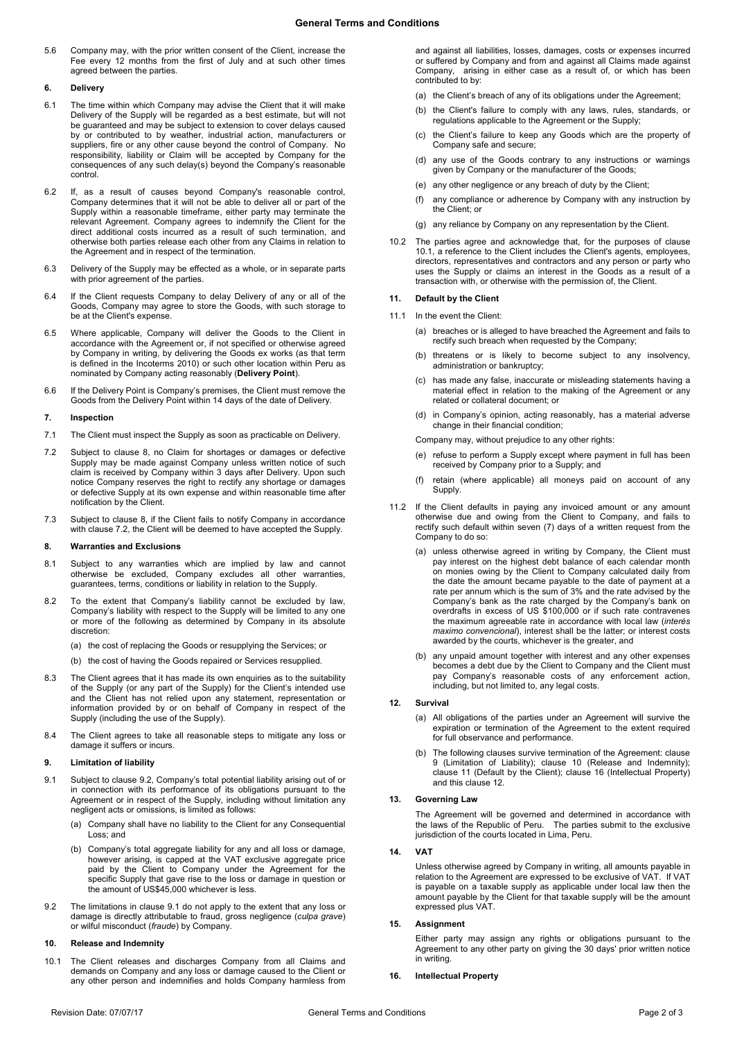5.6 Company may, with the prior written consent of the Client, increase the Fee every 12 months from the first of July and at such other times agreed between the parties.

### **6. Delivery**

- 6.1 The time within which Company may advise the Client that it will make Delivery of the Supply will be regarded as a best estimate, but will not be guaranteed and may be subject to extension to cover delays caused by or contributed to by weather, industrial action, manufacturers or suppliers, fire or any other cause beyond the control of Company. No responsibility, liability or Claim will be accepted by Company for the consequences of any such delay(s) beyond the Company's reasonable control.
- 6.2 If, as a result of causes beyond Company's reasonable control, Company determines that it will not be able to deliver all or part of the Supply within a reasonable timeframe, either party may terminate the relevant Agreement. Company agrees to indemnify the Client for the direct additional costs incurred as a result of such termination, and otherwise both parties release each other from any Claims in relation to the Agreement and in respect of the termination.
- 6.3 Delivery of the Supply may be effected as a whole, or in separate parts with prior agreement of the parties
- 6.4 If the Client requests Company to delay Delivery of any or all of the Goods, Company may agree to store the Goods, with such storage to be at the Client's expense.
- <span id="page-1-0"></span>6.5 Where applicable, Company will deliver the Goods to the Client in accordance with the Agreement or, if not specified or otherwise agreed by Company in writing, by delivering the Goods ex works (as that term is defined in the Incoterms 2010) or such other location within Peru as nominated by Company acting reasonably (**Delivery Point**).
- 6.6 If the Delivery Point is Company's premises, the Client must remove the Goods from the Delivery Point within 14 days of the date of Delivery.

### **7. Inspection**

- 7.1 The Client must inspect the Supply as soon as practicable on Delivery.
- <span id="page-1-2"></span>7.2 Subject to clause [8,](#page-1-1) no Claim for shortages or damages or defective Supply may be made against Company unless written notice of such claim is received by Company within 3 days after Delivery. Upon such notice Company reserves the right to rectify any shortage or damages or defective Supply at its own expense and within reasonable time after notification by the Client.
- 7.3 Subject to clause [8,](#page-1-1) if the Client fails to notify Company in accordance with clause [7.2,](#page-1-2) the Client will be deemed to have accepted the Supply.

#### <span id="page-1-1"></span>**8. Warranties and Exclusions**

- 8.1 Subject to any warranties which are implied by law and cannot otherwise be excluded, Company excludes all other warranties, guarantees, terms, conditions or liability in relation to the Supply.
- 8.2 To the extent that Company's liability cannot be excluded by law, Company's liability with respect to the Supply will be limited to any one or more of the following as determined by Company in its absolute discretion:

(a) the cost of replacing the Goods or resupplying the Services; or

- (b) the cost of having the Goods repaired or Services resupplied.
- 8.3 The Client agrees that it has made its own enquiries as to the suitability of the Supply (or any part of the Supply) for the Client's intended use and the Client has not relied upon any statement, representation or information provided by or on behalf of Company in respect of the Supply (including the use of the Supply).
- 8.4 The Client agrees to take all reasonable steps to mitigate any loss or damage it suffers or incurs.

### <span id="page-1-6"></span>**9. Limitation of liability**

- <span id="page-1-4"></span>9.1 Subject to clause [9.2,](#page-1-3) Company's total potential liability arising out of or in connection with its performance of its obligations pursuant to the Agreement or in respect of the Supply, including without limitation any negligent acts or omissions, is limited as follows:
	- (a) Company shall have no liability to the Client for any Consequential Loss: and
	- (b) Company's total aggregate liability for any and all loss or damage, however arising, is capped at the VAT exclusive aggregate price paid by the Client to Company under the Agreement for the specific Supply that gave rise to the loss or damage in question or the amount of US\$45,000 whichever is less.
- <span id="page-1-3"></span>9.2 The limitations in claus[e 9.1](#page-1-4) do not apply to the extent that any loss or damage is directly attributable to fraud, gross negligence (*culpa grave*) or wilful misconduct (*fraude*) by Company.

### <span id="page-1-7"></span>**10. Release and Indemnity**

<span id="page-1-5"></span>10.1 The Client releases and discharges Company from all Claims and demands on Company and any loss or damage caused to the Client or any other person and indemnifies and holds Company harmless from

and against all liabilities, losses, damages, costs or expenses incurred or suffered by Company and from and against all Claims made against Company, arising in either case as a result of, or which has been contributed to by:

- (a) the Client's breach of any of its obligations under the Agreement:
- (b) the Client's failure to comply with any laws, rules, standards, or regulations applicable to the Agreement or the Supply;
- (c) the Client's failure to keep any Goods which are the property of Company safe and secure;
- (d) any use of the Goods contrary to any instructions or warnings given by Company or the manufacturer of the Goods;
- (e) any other negligence or any breach of duty by the Client;
- (f) any compliance or adherence by Company with any instruction by the Client; or
- (g) any reliance by Company on any representation by the Client.
- 10.2 The parties agree and acknowledge that, for the purposes of clause [10.1,](#page-1-5) a reference to the Client includes the Client's agents, employees, directors, representatives and contractors and any person or party who uses the Supply or claims an interest in the Goods as a result of a transaction with, or otherwise with the permission of, the Client.

# <span id="page-1-8"></span>**11. Default by the Client**

- 11.1 In the event the Client:
	- (a) breaches or is alleged to have breached the Agreement and fails to rectify such breach when requested by the Company;
	- (b) threatens or is likely to become subject to any insolvency, administration or bankruptcy;
	- (c) has made any false, inaccurate or misleading statements having a material effect in relation to the making of the Agreement or any related or collateral document; or
	- (d) in Company's opinion, acting reasonably, has a material adverse change in their financial condition;

Company may, without prejudice to any other rights:

- (e) refuse to perform a Supply except where payment in full has been received by Company prior to a Supply; and
- retain (where applicable) all moneys paid on account of any Supply.
- 11.2 If the Client defaults in paying any invoiced amount or any amount otherwise due and owing from the Client to Company, and fails to rectify such default within seven (7) days of a written request from the Company to do so:
	- (a) unless otherwise agreed in writing by Company, the Client must pay interest on the highest debt balance of each calendar month on monies owing by the Client to Company calculated daily from the date the amount became payable to the date of payment at a rate per annum which is the sum of 3% and the rate advised by the Company's bank as the rate charged by the Company's bank on overdrafts in excess of US \$100,000 or if such rate contravenes the maximum agreeable rate in accordance with local law (*interés maximo convencional*), interest shall be the latter; or interest costs awarded by the courts, whichever is the greater, and
	- (b) any unpaid amount together with interest and any other expenses becomes a debt due by the Client to Company and the Client must pay Company's reasonable costs of any enforcement action, including, but not limited to, any legal costs.

### <span id="page-1-9"></span>**12. Survival**

- (a) All obligations of the parties under an Agreement will survive the expiration or termination of the Agreement to the extent required for full observance and performance.
- (b) The following clauses survive termination of the Agreement: clause [9](#page-1-6) (Limitation of Liability); clause [10](#page-1-7) (Release and Indemnity); clause [11](#page-1-8) (Default by the Client); clause 16 (Intellectual Property) and this claus[e 12.](#page-1-9)

#### **13. Governing Law**

The Agreement will be governed and determined in accordance with the laws of the Republic of Peru. The parties submit to the exclusive jurisdiction of the courts located in Lima, Peru.

### **14. VAT**

Unless otherwise agreed by Company in writing, all amounts payable in relation to the Agreement are expressed to be exclusive of VAT. If VAT is payable on a taxable supply as applicable under local law then the amount payable by the Client for that taxable supply will be the amount expressed plus VAT.

### **15. Assignment**

Either party may assign any rights or obligations pursuant to the Agreement to any other party on giving the 30 days' prior written notice in writing.

**16. Intellectual Property**